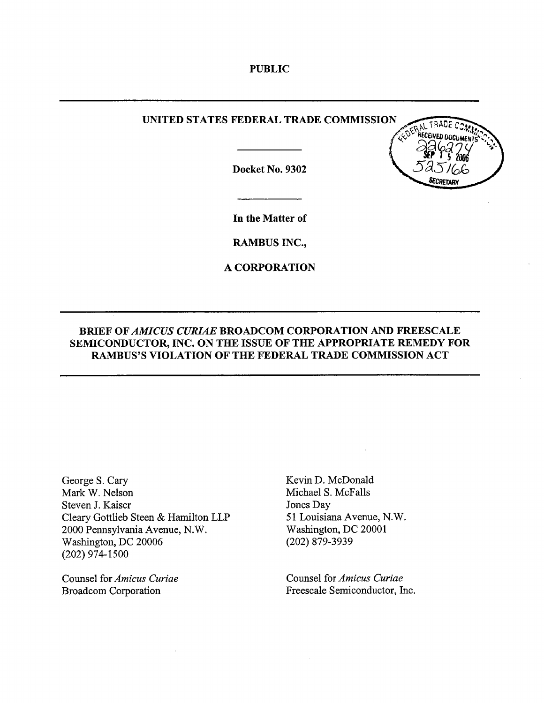PUBLIC

## UNITED STATES FEDERAL TRADE COMMISSION

Docket No. 9302



In the Matter of

RAMBUS INC.,

A CORPORATION

# BRIEF OF AMICUS CURIAE BROADCOM CORPORATION AND FREESCALE SEMICONDUCTOR, INC. ON THE ISSUE OF THE APPROPRIATE REMEDY FOR RAMBUS'S VIOLATION OF THE FEDERAL TRADE COMMISSION ACT

George S. Car Mark W. Nelson Steven J. Kaiser Cleary Gottlieb Steen & Hamilton LLP 2000 Pennsylvania Avenue, N. Washington, DC 20006 (202) 974- 1500

Counsel for Amicus Curiae Broadcom Corporation

Kevin D. McDonald Michael S. McFalls Jones Day 51 Louisiana Avenue, N. Washington, DC 20001 (202) 879-3939

Counsel for Amicus Curiae Freesca1e Semiconductor, Inc.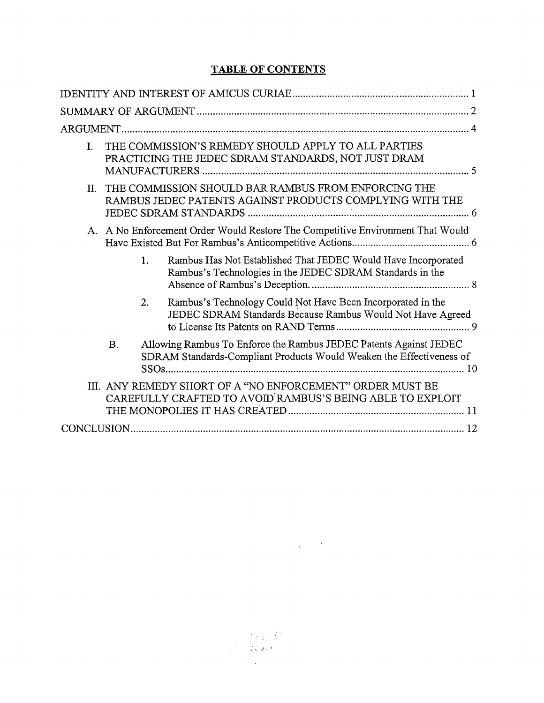# TABLE OF CONTENTS

| THE COMMISSION'S REMEDY SHOULD APPLY TO ALL PARTIES<br>I.<br>PRACTICING THE JEDEC SDRAM STANDARDS, NOT JUST DRAM                                       |
|--------------------------------------------------------------------------------------------------------------------------------------------------------|
| THE COMMISSION SHOULD BAR RAMBUS FROM ENFORCING THE<br>Π.<br>RAMBUS JEDEC PATENTS AGAINST PRODUCTS COMPLYING WITH THE                                  |
| A. A No Enforcement Order Would Restore The Competitive Environment That Would                                                                         |
| Rambus Has Not Established That JEDEC Would Have Incorporated<br>1.<br>Rambus's Technologies in the JEDEC SDRAM Standards in the                       |
| Rambus's Technology Could Not Have Been Incorporated in the<br>2.<br>JEDEC SDRAM Standards Because Rambus Would Not Have Agreed                        |
| Allowing Rambus To Enforce the Rambus JEDEC Patents Against JEDEC<br><b>B.</b><br>SDRAM Standards-Compliant Products Would Weaken the Effectiveness of |
| III. ANY REMEDY SHORT OF A "NO ENFORCEMENT" ORDER MUST BE<br>CAREFULLY CRAFTED TO AVOID RAMBUS'S BEING ABLE TO EXPLOIT                                 |
|                                                                                                                                                        |

 $\label{eq:2.1} \frac{1}{\left\|x\right\|^{2}}\leq \frac{1}{\left\|x\right\|^{2}}\leq \frac{1}{\left\|x\right\|^{2}}\leq \frac{1}{\left\|x\right\|^{2}}\leq \frac{1}{\left\|x\right\|^{2}}.$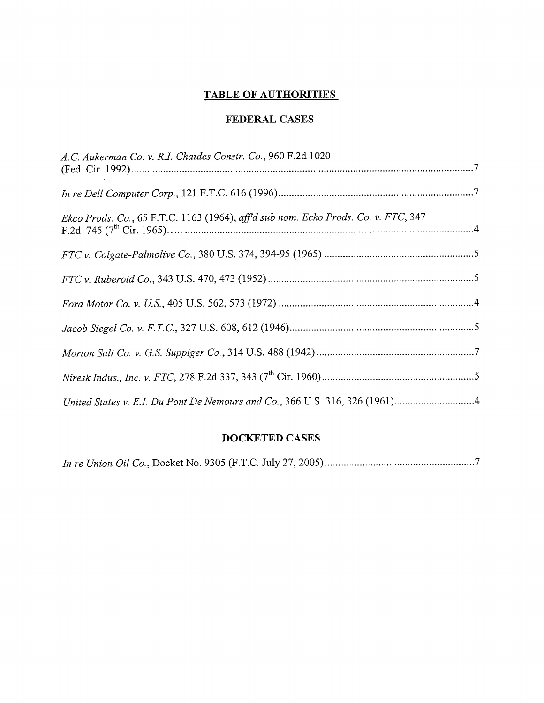# TABLE OF AUTHORITIES

# FEDERAL CASES

| A.C. Aukerman Co. v. R.I. Chaides Constr. Co., 960 F.2d 1020                       |  |
|------------------------------------------------------------------------------------|--|
|                                                                                    |  |
| Ekco Prods. Co., 65 F.T.C. 1163 (1964), aff'd sub nom. Ecko Prods. Co. v. FTC, 347 |  |
|                                                                                    |  |
|                                                                                    |  |
|                                                                                    |  |
|                                                                                    |  |
|                                                                                    |  |
|                                                                                    |  |
|                                                                                    |  |

# DOCKETED CASES

|--|--|--|--|--|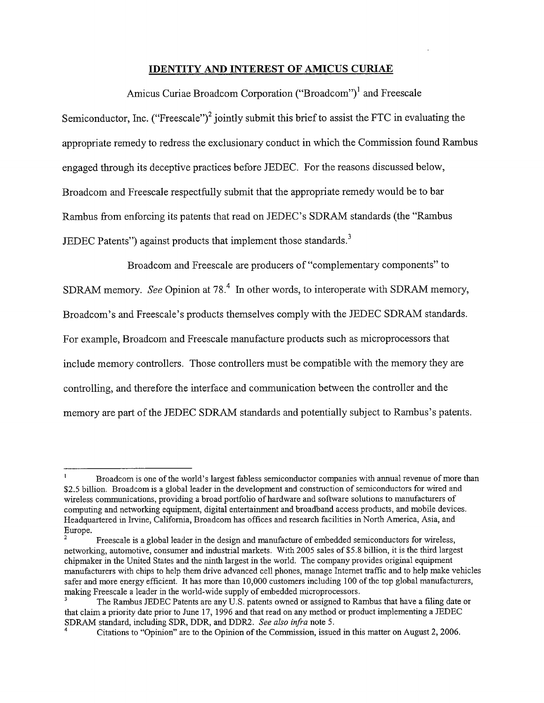### IDENTITY AND INTEREST OF AMICUS CURIAE

Amicus Curiae Broadcom Corporation ("Broadcom")<sup>1</sup> and Freescale Semiconductor, Inc. ("Freescale")<sup>2</sup> jointly submit this brief to assist the FTC in evaluating the appropriate remedy to redress the exclusionary conduct in which the Commission found Rambus engaged through its deceptive practices before JEDEC. For the reasons discussed below Broadcom and Freescale respectfully submit that the appropriate remedy would be to bar Rambus from enforcing its patents that read on JEDEC's SDRAM standards (the "Rambus JEDEC Patents") against products that implement those standards. $3$ 

Broadcom and Freescale are producers of "complementary components" to SDRAM memory. See Opinion at 78.<sup>4</sup> In other words, to interoperate with SDRAM memory, Broadcom's and Freescale's products themselves comply with the JEDEC SDRAM standards. For example, Broadcom and Freescale manufacture products such as microprocessors that include memory controllers. Those controllers must be compatible with the memory they are controlling, and therefore the interface and communication between the controller and the memory are part of the JEDEC SDRAM standards and potentially subject to Rambus's patents.

Broadcom is one of the world's largest fabless semiconductor companies with annual revenue of more than \$2.5 billion. Broadcom is a global leader in the development and construction of semiconductors for wired and wireless communications, providing a broad portfolio of hardware and software solutions to manufactuers computing and networking equipment, digital entertainment and broadband access products, and mobile devices. Headquartered in Irvine, California, Broadcom has offices and research facilities in North America, Asia, and Europe.

Freescale is a global leader in the design and manufactue of embedded semiconductors for wireless networking, automotive, consumer and industrial markets. With 2005 sales of \$5.8 bilion, it is the third largest chipmaker in the United States and the nith largest in the world. The company provides original equipment manufacturers with chips to help them drive advanced cell phones, manage Internet traffic and to help make vehicles safer and more energy efficient. It has more than 10,000 customers including 100 of the top global manufacturers, making Freescale a leader in the world-wide supply of embedded microprocessors.

The Rambus JEDEC Patents are any U.S. patents owned or assigned to Rambus that have a filing date or that claim a priority date prior to June 17, 1996 and that read on any method or product implementing a JEDEC SDRAM standard, including SDR, DDR, and DDR2. See also infra note 5.

Citations to "Opinion" are to the Opinon of the Commssion, issued in this matter on August 2, 2006.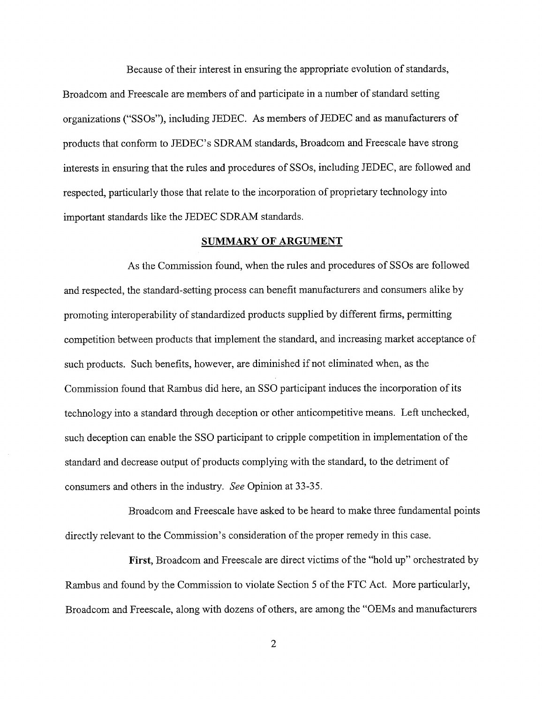Because of their interest in ensuring the appropriate evolution of standards Broadcom and Freescale are members of and paricipate in a number of standard setting organizations ("SSOs"), including JEDEC. As members of JEDEC and as manufacturers of products that conform to JEDEC's SDRAM standards, Broadcom and Freescale have strong interests in ensuring that the rules and procedures of SSOs, including JEDEC, are followed and respected, paricularly those that relate to the incorporation of proprietary technology into important standards like the JEDEC SDRAM standards.

### SUMMARY OF ARGUMENT

As the Commission found, when the rules and procedures of SSOs are followed and respected, the standard-setting process can benefit manufacturers and consumers alike by promoting interoperability of standardized products supplied by different firms, permitting competition between products that implement the standard, and increasing market acceptance of such products. Such benefits, however, are diminished if not eliminated when, as the Commission found that Rambus did here, an SSO participant induces the incorporation of its technology into a standard through deception or other anticompetitive means. Left unchecked, such deception can enable the SSO paricipant to cripple competition in implementation of the standard and decrease output of products complying with the standard, to the detriment of consumers and others in the industry. See Opinion at 33-35.

Broadcom and Freescale have asked to be heard to make three fundamental points directly relevant to the Commission's consideration of the proper remedy in this case.

First, Broadcom and Freescale are direct victims of the "hold up" orchestrated by Rambus and found by the Commission to violate Section 5 of the FTC Act. More paricularly, Broadcom and Freescale, along with dozens of others, are among the "OEMs and manufacturers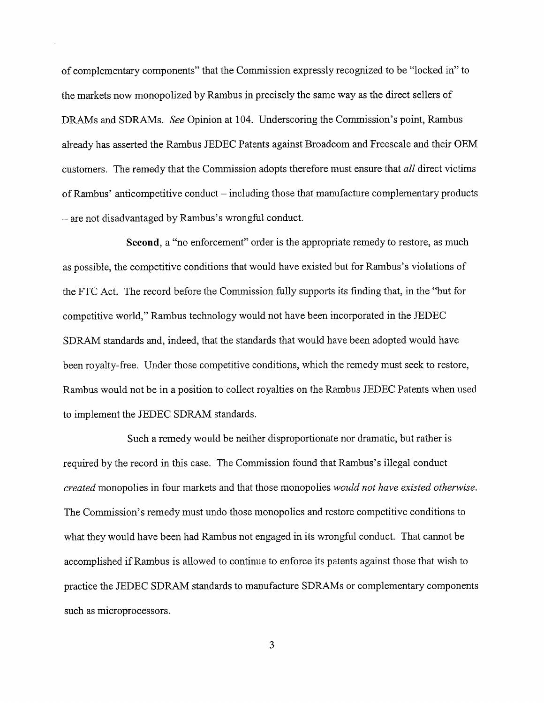of complementary components" that the Commission expressly recognized to be "locked in" to the markets now monopolized by Rambus in precisely the same way as the direct sellers of DRAMs and SDRAMs. See Opinion at 104. Underscoring the Commission's point, Rambus already has asserted the Rambus JEDEC Patents against Broadcom and Freescale and their OEM customers. The remedy that the Commission adopts therefore must ensure that all direct victims of Rambus' anticompetitive conduct – including those that manufacture complementary products - are not disadvantaged by Rambus's wrongful conduct.

Second, a "no enforcement" order is the appropriate remedy to restore, as much as possible, the competitive conditions that would have existed but for Rambus's violations of the FTC Act. The record before the Commission fully supports its finding that, in the "but for competitive world " Rambus technology would not have been incorporated in the JEDEC SDRAM standards and, indeed, that the standards that would have been adopted would have been royalty-free. Under those competitive conditions, which the remedy must seek to restore Rambus would not be in a position to collect royalties on the Rambus JEDEC Patents when used to implement the JEDEC SDRAM standards.

Such a remedy would be neither disproportionate nor dramatic, but rather is required by the record in this case. The Commission found that Rambus's illegal conduct created monopolies in four markets and that those monopolies would not have existed otherwise. The Commission's remedy must undo those monopolies and restore competitive conditions to what they would have been had Rambus not engaged in its wrongful conduct. That cannot be accomplished if Rambus is allowed to continue to enforce its patents against those that wish to practice the JEDEC SDRAM standards to manufacture SDRAMs or complementary components such as microprocessors.

 $\overline{3}$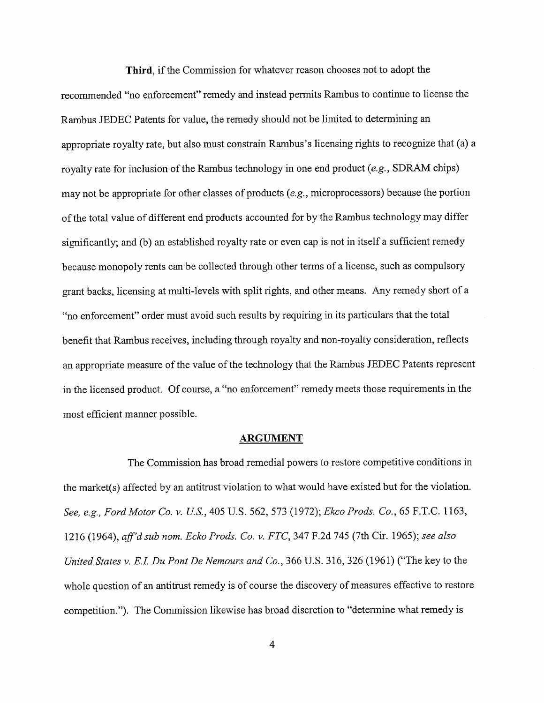Third, if the Commission for whatever reason chooses not to adopt the recommended "no enforcement" remedy and instead permits Rambus to continue to license the Rambus JEDEC Patents for value, the remedy should not be limited to determining an appropriate royalty rate, but also must constrain Rambus's licensing rights to recognize that (a) a royalty rate for inclusion of the Rambus technology in one end product (e.g., SDRAM chips) may not be appropriate for other classes of products (e. microprocessors) because the portion of the total value of different end products accounted for by the Rambus technology may differ significantly; and (b) an established royalty rate or even cap is not in itself a sufficient remedy because monopoly rents can be collected through other terms of a license, such as compulsory grant backs, licensing at multi-levels with split rights, and other means. Any remedy short of a no enforcement" order must avoid such results by requiring in its pariculars that the total benefit that Rambus receives, including through royalty and non-royalty consideration, reflects an appropriate measure of the value of the technology that the Rambus JEDEC Patents represent in the licensed product. Of course, a "no enforcement" remedy meets those requirements in the most efficient maner possible.

### ARGUMENT

The Commission has broad remedial powers to restore competitive conditions in the market(s) affected by an antitrust violation to what would have existed but for the violation. See, e.g., Ford Motor Co. v. U.S., 405 U.S. 562, 573 (1972); Ekco Prods. Co., 65 F.T.C. 1163, 1216 (1964), aff'd sub nom. Ecko Prods. Co. v. FTC, 347 F.2d 745 (7th Cir. 1965); see also United States v. E.I. Du Pont De Nemours and Co., 366 U.S. 316, 326 (1961) ("The key to the whole question of an antitrust remedy is of course the discovery of measures effective to restore competition."). The Commission likewise has broad discretion to "determine what remedy is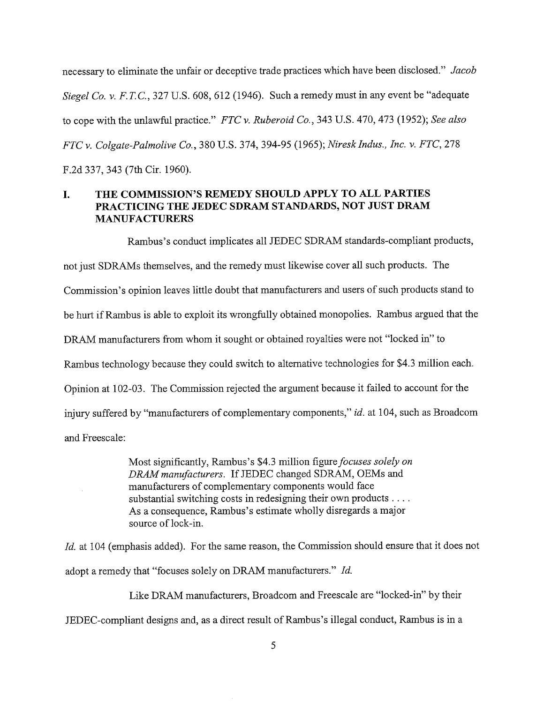necessary to eliminate the unfair or deceptive trade practices which have been disclosed." Jacob Siegel Co. v. F.T.C., 327 U.S. 608, 612 (1946). Such a remedy must in any event be "adequate to cope with the unlawful practice." FTC v. Ruberoid Co., 343 U.S. 470, 473 (1952); See also FTC v. Colgate-Palmolive Co. 380 US. 374, 394- 95 (1965); Niresk Indus. , Inc. v. FTC, 278 F.2d 337 343 (7th Cir. 1960).

#### $\mathbf{L}$ THE COMMISSION'S REMEDY SHOULD APPLY TO ALL PARTIES PRACTICING THE JEDEC SDRAM STANDARDS, NOT JUST DRAM MANUFACTURERS

Rambus's conduct implicates all JEDEC SDRAM standards-compliant products, not just SDRAMs themselves, and the remedy must likewise cover all such products. The Commission's opinion leaves little doubt that manufacturers and users of such products stand to be hurt if Rambus is able to exploit its wrongfully obtained monopolies. Rambus argued that the DRAM manufacturers from whom it sought or obtained royalties were not "locked in" to Rambus technology because they could switch to alternative technologies for \$4.3 million each. Opinion at 102-03. The Commission rejected the argument because it failed to account for the injury suffered by "manufacturers of complementary components," id. at 104, such as Broadcom and Freescale:

> Most significantly, Rambus's \$4.3 million figure focuses solely on DRAM manufacturers. If JEDEC changed SDRAM, OEMs and manufacturers of complementary components would face substantial switching costs in redesigning their own products . . . . As a consequence, Rambus's estimate wholly disregards a major source of lock-in.

Id. at 104 (emphasis added). For the same reason, the Commission should ensure that it does not adopt a remedy that "focuses solely on DRAM manufacturers." Id.

Like DRAM manufacturers, Broadcom and Freescale are "locked-in" by their

JEDEC-compliant designs and, as a direct result of Rambus's illegal conduct, Rambus is in a

5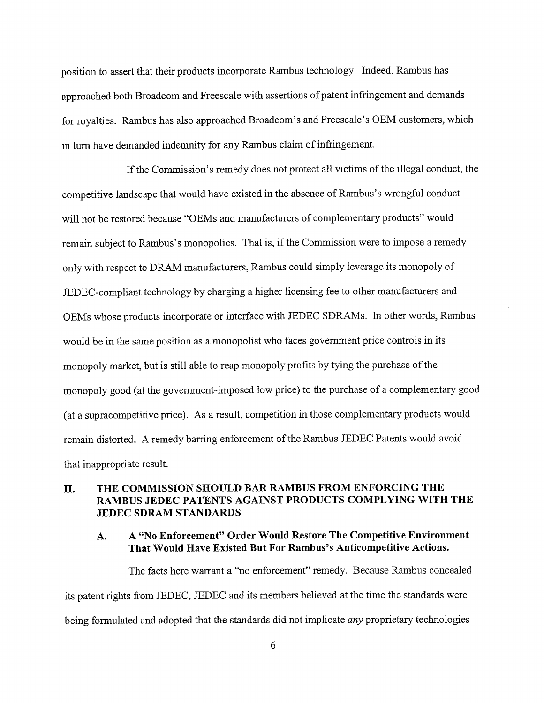position to assert that their products incorporate Rambus technology. Indeed, Rambus has approached both Broadcom and Freescale with assertions of patent infrngement and demands for royalties. Rambus has also approached Broadcom's and Freescale's OEM customers, which in turn have demanded indemnity for any Rambus claim of infrngement.

If the Commission's remedy does not protect all victims of the illegal conduct, the competitive landscape that would have existed in the absence of Rambus's wrongful conduct will not be restored because "OEMs and manufacturers of complementary products" would remain subject to Rambus's monopolies. That is, if the Commission were to impose a remedy only with respect to DRAM manufacturers, Rambus could simply leverage its monopoly of JEDEC-compliant technology by charging a higher licensing fee to other manufacturers and OEMs whose products incorporate or interface with JEDEC SDRAMs. In other words, Rambus would be in the same position as a monopolist who faces government price controls in its monopoly market, but is still able to reap monopoly profits by tying the purchase of the monopoly good (at the government-imposed low price) to the purchase of a complementary good (at a supracompetitive price). As a result, competition in those complementary products would remain distorted. A remedy barring enforcement of the Rambus JEDEC Patents would avoid that inappropriate result.

# II. THE COMMISSION SHOULD BAR RAMBUS FROM ENFORCING THE RAMBUS JEDEC PATENTS AGAINST PRODUCTS COMPLYING WITH THE **JEDEC SDRAM STANDARDS**

#### A "No Enforcement" Order Would Restore The Competitive Environment  $A.$ That Would Have Existed But For Rambus's Anticompetitive Actions.

The facts here warrant a "no enforcement" remedy. Because Rambus concealed its patent rights from JEDEC, JEDEC and its members believed at the time the standards were being formulated and adopted that the standards did not implicate *any* proprietary technologies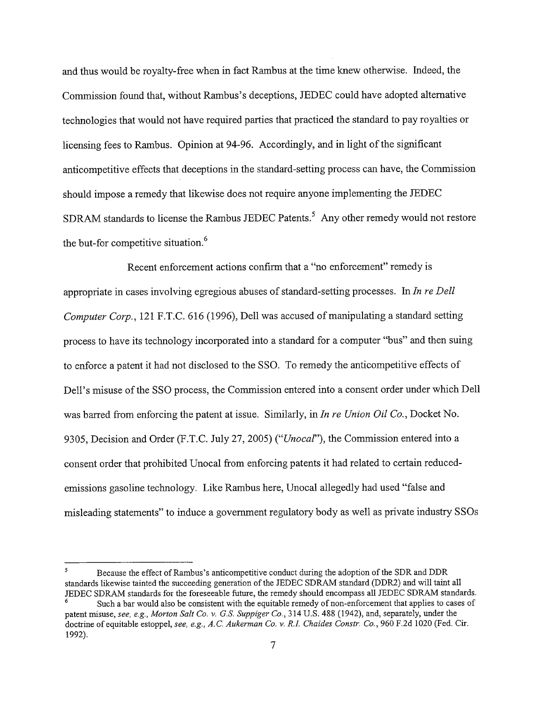and thus would be royalty-free when in fact Rambus at the time knew otherwise. Indeed, the Commission found that, without Rambus's deceptions, JEDEC could have adopted alternative technologies that would not have required parties that practiced the standard to pay royalties or licensing fees to Rambus. Opinion at 94-96. Accordingly, and in light of the significant anticompetitive effects that deceptions in the standard-setting process can have, the Commission should impose a remedy that likewise does not require anyone implementing the JEDEC SDRAM standards to license the Rambus JEDEC Patents.<sup>5</sup> Any other remedy would not restore the but-for competitive situation.<sup>6</sup>

Recent enforcement actions confirm that a "no enforcement" remedy is appropriate in cases involving egregious abuses of standard-setting processes. In In re Dell Computer Corp. 121 F.T.c. 616 (1996), Dell was accused of manipulating a standard setting process to have its technology incorporated into a standard for a computer "bus" and then suing to enforce a patent it had not disclosed to the SSO. To remedy the anticompetitive effects of Dell's misuse of the SSO process, the Commission entered into a consent order under which Dell was barred from enforcing the patent at issue. Similarly, in In re Union Oil Co., Docket No. 9305, Decision and Order (F.T.C. July 27, 2005) ("Unocal"), the Commission entered into a consent order that prohibited Unocal from enforcing patents it had related to certain reducedemissions gasoline technology. Like Rambus here, Unocal allegedly had used "false and misleading statements" to induce a government regulatory body as well as private industry SSOs

 $\overline{\mathbf{5}}$ Because the effect of Rambus's anticompetitive conduct during the adoption of the SDR and DDR standards likewise tainted the succeeding generation of the JEDEC SDRAM standard (DDR2) and will taint all JEDEC SDRAM standards for the foreseeable future, the remedy should encompass all JEDEC SDRAM standards. Such a bar would also be consistent with the equitable remedy of non-enforcement that applies to cases of patent misuse, see, e.g., Morton Salt Co. v. G.S. Suppiger Co., 314 U.S. 488 (1942), and, separately, under the doctrine of equitable estoppel, see, e.g., A.C. Aukerman Co. v. R.I. Chaides Constr. Co., 960 F.2d 1020 (Fed. Cir. 1992).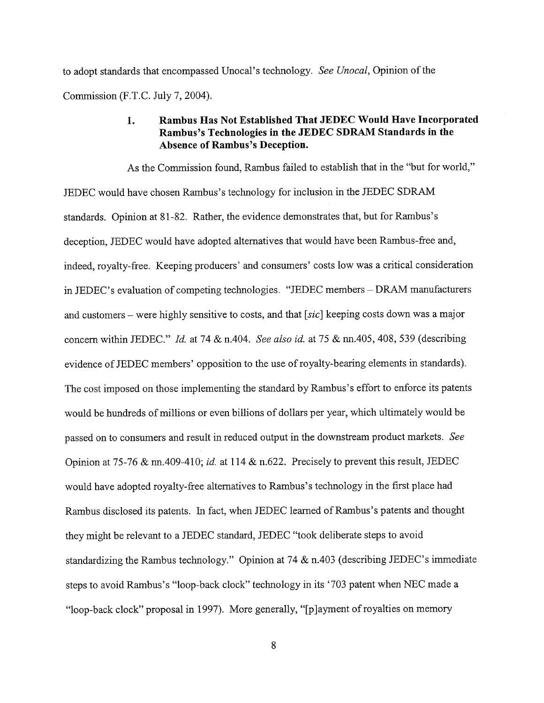to adopt standards that encompassed Unocal's technology. See Unocal, Opinion of the Commission (F.T.C. July 7, 2004).

#### Rambus Has Not Established That JEDEC Would Have Incorporated 1. Rambus's Technologies in the JEDEC SDRAM Standards in the Absence of Rambus's Deception.

As the Commission found, Rambus failed to establish that in the "but for world JEDEC would have chosen Rambus's technology for inclusion in the JEDEC SDRAM standards. Opinion at 81-82. Rather, the evidence demonstrates that, but for Rambus deception, JEDEC would have adopted alternatives that would have been Rambus-free and indeed, royalty-free. Keeping producers' and consumers' costs low was a critical consideration in JEDEC's evaluation of competing technologies. "JEDEC members – DRAM manufacturers and customers – were highly sensitive to costs, and that [ $sic$ ] keeping costs down was a major concern within JEDEC." Id. at 74  $&$  n.404. See also id. at 75  $&$  nn.405, 408, 539 (describing evidence of JEDEC members' opposition to the use of royalty- bearing elements in standards). The cost imposed on those implementing the standard by Rambus's effort to enforce its patents would be hundreds of millions or even billions of dollars per year, which ultimately would be passed on to consumers and result in reduced output in the downstream product markets. See Opinion at 75-76 & nn.409-410; id. at 114 & n.622. Precisely to prevent this result, JEDEC would have adopted royalty-free alternatives to Rambus' s technology in the first place had Rambus disclosed its patents. In fact, when JEDEC learned of Rambus's patents and thought they might be relevant to a JEDEC standard, JEDEC "took deliberate steps to avoid standardizing the Rambus technology." Opinion at 74  $\&$  n.403 (describing JEDEC's immediate steps to avoid Rambus's "loop-back clock" technology in its '703 patent when NEC made a "loop-back clock" proposal in 1997). More generally, "[p] ayment of royalties on memory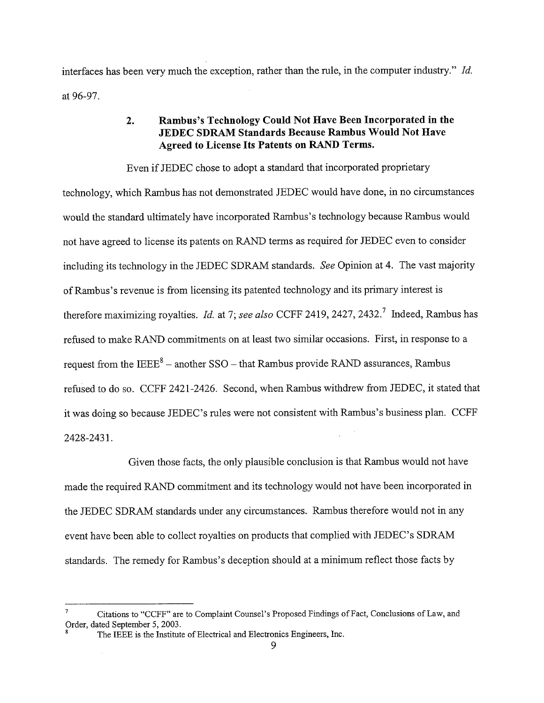interfaces has been very much the exception, rather than the rule, in the computer industry." Id. at 96-97.

#### Rambus's Technology Could Not Have Been Incorporated in the  $2.$ JEDEC SDRAM Standards Because Rambus Would Not Have Agreed to License Its Patents on RAD Terms.

Even if JEDEC chose to adopt a standard that incorporated proprietary technology, which Rambus has not demonstrated JEDEC would have done, in no circumstances would the standard ultimately have incorporated Rambus' s technology because Rambus would not have agreed to license its patents on RAND terms as required for JEDEC even to consider including its technology in the JEDEC SDRAM standards. See Opinion at 4. The vast majority of Rambus's revenue is from licensing its patented technology and its primary interest is therefore maximizing royalties. Id. at 7; see also CCFF 2419, 2427, 2432.<sup>7</sup> Indeed, Rambus has refused to make RAND commitments on at least two similar occasions. First, in response to a request from the  $IEEE^8 - another SSO - that Rambus provide RAND assumes, Rambus$ refused to do so. CCFF 242l-2426. Second, when Rambus withdrew from JEDEC, it stated that it was doing so because JEDEC's rules were not consistent with Rambus's business plan. CCFF 2428-2431.

Given those facts, the only plausible conclusion is that Rambus would not have made the required RAND commitment and its technology would not have been incorporated in the JEDEC SDRAM standards under any circumstances. Rambus therefore would not in any event have been able to collect royalties on products that complied with JEDEC's SDRAM standards. The remedy for Rambus's deception should at a minimum reflect those facts by

 $\overline{7}$ Citations to "CCFF" are to Complaint Counsel's Proposed Findings of Fact , Conclusions of Law, and Order, dated September 5, 2003.

The IEEE is the Institute of Electrical and Electronics Engineers, Inc.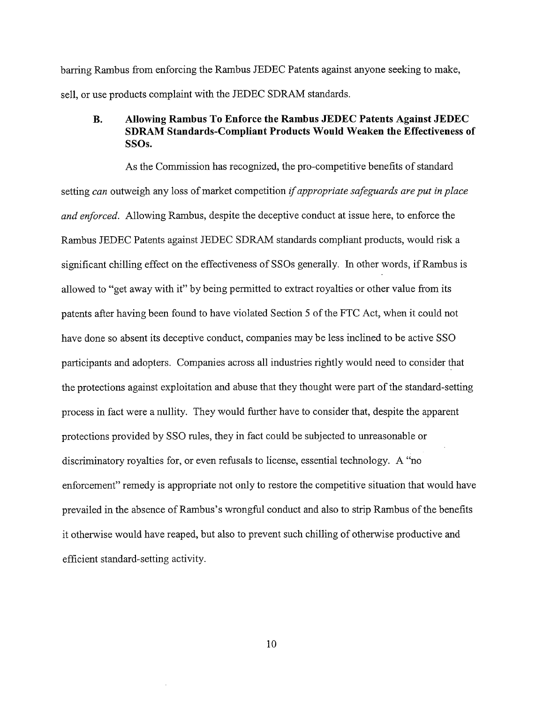barring Rambus from enforcing the Rambus JEDEC Patents against anyone seeking to make, sell, or use products complaint with the JEDEC SDRAM standards.

#### $\mathbf{B}$ . Allowing Rambus To Enforce the Rambus JEDEC Patents Against JEDEC SDRAM Standards-Compliant Products Would Weaken the Effectiveness of SSOs.

As the Commission has recognized, the pro-competitive benefits of standard setting can outweigh any loss of market competition if appropriate safeguards are put in place and enforced. Allowing Rambus, despite the deceptive conduct at issue here, to enforce the Rambus JEDEC Patents against JEDEC SDRAM standards compliant products, would risk a significant chilling effect on the effectiveness of SSOs generally. In other words, if Rambus is allowed to "get away with it" by being permitted to extract royalties or other value from its patents after having been found to have violated Section 5 of the FTC Act, when it could not have done so absent its deceptive conduct, companies may be less inclined to be active SSO participants and adopters. Companes across all industries rightly would need to consider that the protections against exploitation and abuse that they thought were part of the standard-setting process in fact were a nullity. They would further have to consider that, despite the apparent protections provided by SSO rules, they in fact could be subjected to unreasonable or discriminatory royalties for, or even refusals to license, essential technology. A " enforcement" remedy is appropriate not only to restore the competitive situation that would have prevailed in the absence of Rambus's wrongful conduct and also to strip Rambus of the benefits it otherwise would have reaped, but also to prevent such chilling of otherwise productive and effcient standard-setting activity.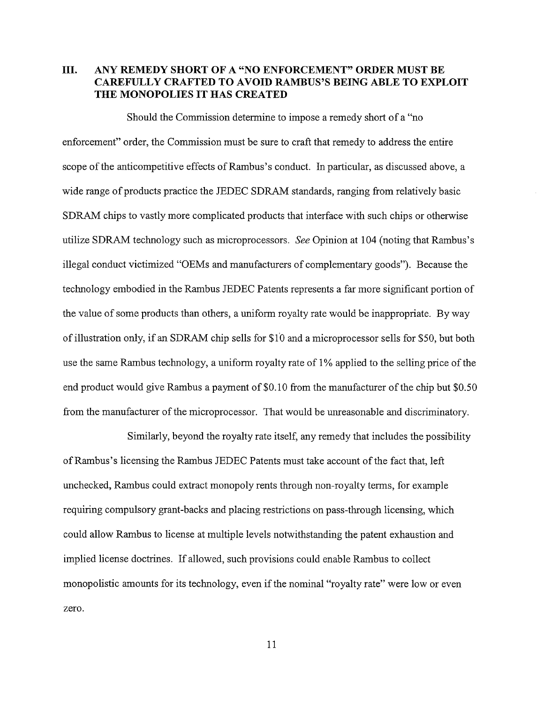# III. ANY REMEDY SHORT OF A "NO ENFORCEMENT" ORDER MUST BE CAREFULLY CRAFTED TO AVOID RAMBUS'S BEING ABLE TO EXPLOIT THE MONOPOLIES IT HAS CREATED

Should the Commission determine to impose a remedy short of a "no enforcement" order, the Commission must be sure to craft that remedy to address the entire scope of the anticompetitive effects of Rambus's conduct. In particular, as discussed above, a wide range of products practice the JEDEC SDRAM standards, ranging from relatively basic SDRAM chips to vastly more complicated products that interface with such chips or otherwise utilize SDRAM technology such as microprocessors. See Opinion at 104 (noting that Rambus's illegal conduct victimized "OEMs and manufacturers of complementary goods"). Because the technology embodied in the Rambus JEDEC Patents represents a far more significant portion of the value of some products than others, a uniform royalty rate would be inappropriate. By way of illustration only, if an SDRAM chip sells for  $$1'0$  and a microprocessor sells for  $$50$ , but both use the same Rambus technology, a uniform royalty rate of 1 % applied to the selling price of the end product would give Rambus a payment of  $$0.10$  from the manufacturer of the chip but  $$0.50$ from the manufacturer of the microprocessor. That would be uneasonable and discriminatory.

Similarly, beyond the royalty rate itself, any remedy that includes the possibility of Rambus's licensing the Rambus JEDEC Patents must take account of the fact that, left unchecked, Rambus could extract monopoly rents through non-royalty terms, for example requiring compulsory grant-backs and placing restrictions on pass-through licensing, which could allow Rambus to license at multiple levels notwithstanding the patent exhaustion and implied license doctrines. If allowed, such provisions could enable Rambus to collect monopolistic amounts for its technology, even if the nominal "royalty rate" were low or even zero.

11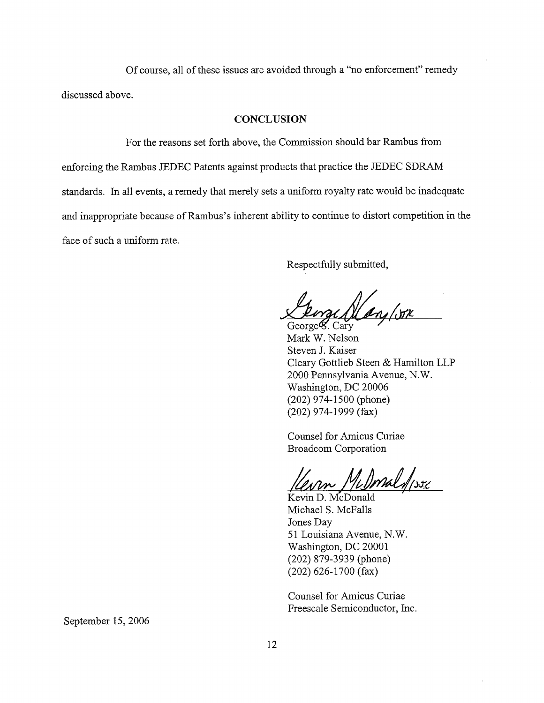Of course, all of these issues are avoided through a "no enforcement" remedy discussed above.

## **CONCLUSION**

For the reasons set forth above, the Commission should bar Rambus from enforcing the Rambus JEDEC Patents against products that practice the JEDEC SDRA standards. In all events, a remedy that merely sets a uniform royalty rate would be inadequate and inappropriate because of Rambus's inherent ability to continue to distort competition in the face of such a uniform rate.

Respectfully submitted

Ang (STK

George<sup>g</sup>. Cary Mark W. Nelson Steven J. Kaiser Cleary Gottlieb Steen & Hamilton LLP 2000 Pennsylvania Avenue, N. Washington, DC 20006 (202) 974- 1500 (phone) (202) 974- 1999 (fax)

Counsel for Amicus Curiae Broadcom Corporation

m Milmaldisse

Kevin D. McDonald Michael S. McFalls Jones Day 51 Louisiana Avenue, N. Washington, DC 20001 (202) 879-3939 (phone) (202) 626- 1700 (fax)

Counsel for Amicus Curiae Freescale Semiconductor, Inc.

September 15, 2006